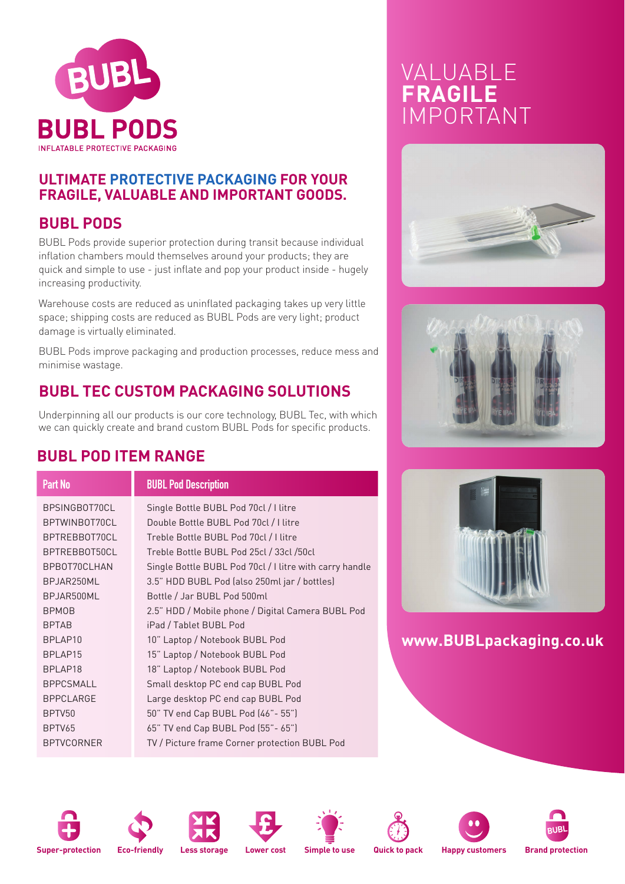

### **ULTIMATE PROTECTIVE PACKAGING FOR YOUR FRAGILE, VALUABLE AND IMPORTANT GOODS.**

### **BUBL PODS**

BUBL Pods provide superior protection during transit because individual inflation chambers mould themselves around your products; they are quick and simple to use - just inflate and pop your product inside - hugely increasing productivity.

Warehouse costs are reduced as uninflated packaging takes up very little space; shipping costs are reduced as BUBL Pods are very light; product damage is virtually eliminated.

BUBL Pods improve packaging and production processes, reduce mess and minimise wastage.

## **BUBL TEC CUSTOM PACKAGING SOLUTIONS**

Underpinning all our products is our core technology, BUBL Tec, with which we can quickly create and brand custom BUBL Pods for specific products.

### **BUBL POD ITEM RANGE**

#### **Part No BUBL Pod Description**

BPSINGBOT70CL Single Bottle BUBL Pod 70cl / I litre BPTWINBOT70CL Double Bottle BUBL Pod 70cl / I litre BPTREBBOT70CL Treble Bottle BUBL Pod 70cl / I litre BPTREBBOT50CL Treble Bottle BUBL Pod 25cl / 33cl /50cl BPBOT70CLHAN Single Bottle BUBL Pod 70cl / I litre with carry handle BPJAR250ML 3.5" HDD BUBL Pod (also 250ml jar / bottles) BPJAR500ML Bottle / Jar BUBL Pod 500ml BPMOB 2.5" HDD / Mobile phone / Digital Camera BUBL Pod BPTAB iPad / Tablet BUBL Pod BPLAP10 10" Laptop / Notebook BUBL Pod BPLAP15 15" Laptop / Notebook BUBL Pod BPLAP18 18" Laptop / Notebook BUBL Pod BPPCSMALL Small desktop PC end cap BUBL Pod BPPCLARGE Large desktop PC end cap BUBL Pod BPTV50 50" TV end Cap BUBL Pod (46"- 55") BPTV65 65" TV end Cap BUBL Pod (55"- 65") BPTVCORNER TV / Picture frame Corner protection BUBL Pod

# VALUABLE **FRAGILE** IMPORTANT







**www.BUBLpackaging.co.uk**